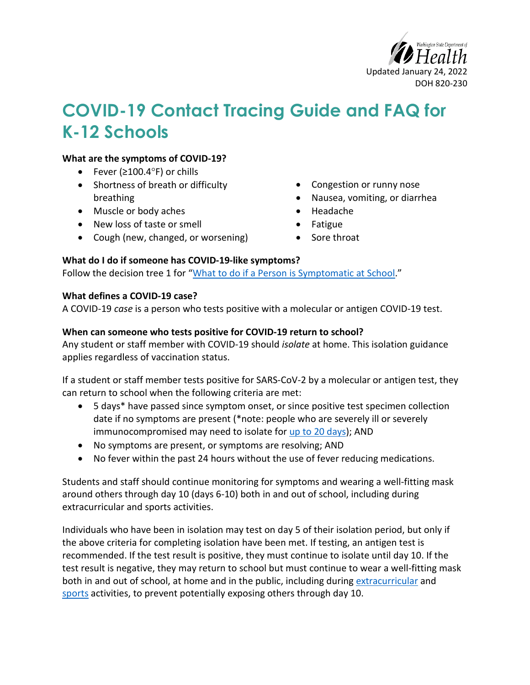

# **COVID-19 Contact Tracing Guide and FAQ for K-12 Schools**

#### **What are the symptoms of COVID-19?**

- Fever (≥100.4°F) or chills
- Shortness of breath or difficulty breathing
- Muscle or body aches
- New loss of taste or smell
- Cough (new, changed, or worsening)
- Congestion or runny nose
- Nausea, vomiting, or diarrhea
- Headache
- Fatigue
- Sore throat

#### **What do I do if someone has COVID-19-like symptoms?**

Follow the decision tree 1 for ["What to do if a Person](https://www.doh.wa.gov/Portals/1/Documents/1600/coronavirus/820-229-SymptomDecisionTreeCTChecklistSchools.pdf) is Symptomatic at School."

#### **What defines a COVID-19 case?**

A COVID-19 *case* is a person who tests positive with a molecular or antigen COVID-19 test.

#### **When can someone who tests positive for COVID-19 return to school?**

Any student or staff member with COVID-19 should *isolate* at home. This isolation guidance applies regardless of vaccination status.

If a student or staff member tests positive for SARS-CoV-2 by a molecular or antigen test, they can return to school when the following criteria are met:

- 5 days\* have passed since symptom onset, or since positive test specimen collection date if no symptoms are present (\*note: people who are severely ill or severely immunocompromised may need to isolate for [up to 20 days\)](https://www.cdc.gov/coronavirus/2019-ncov/hcp/disposition-hospitalized-patients.html); AND
- No symptoms are present, or symptoms are resolving; AND
- No fever within the past 24 hours without the use of fever reducing medications.

Students and staff should continue monitoring for symptoms and wearing a well-fitting mask around others through day 10 (days 6-10) both in and out of school, including during extracurricular and sports activities.

Individuals who have been in isolation may test on day 5 of their isolation period, but only if the above criteria for completing isolation have been met. If testing, an antigen test is recommended. If the test result is positive, they must continue to isolate until day 10. If the test result is negative, they may return to school but must continue to wear a well-fitting mask both in and out of school, at home and in the public, including during extracurricular and sports activities, to prevent potentially exposing others through day 10.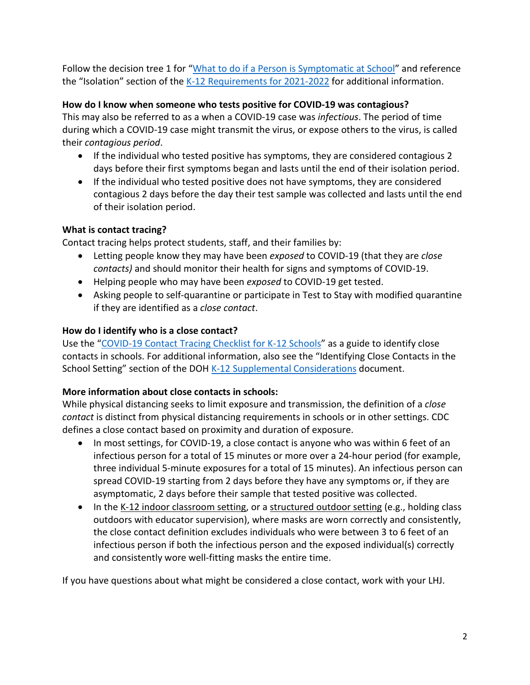Follow the decision tree 1 for ["What to do if a Person is Symptomatic at School"](https://www.doh.wa.gov/Portals/1/Documents/1600/coronavirus/820-229-SymptomDecisionTreeCTChecklistSchools.pdf) and reference the "Isolation" section of the [K-12 Requirements for 2021-2022](https://www.doh.wa.gov/Portals/1/Documents/1600/coronavirus/820-105-K12Schools2021-2022.pdf) for additional information.

# **How do I know when someone who tests positive for COVID-19 was contagious?**

This may also be referred to as a when a COVID-19 case was *infectious*. The period of time during which a COVID-19 case might transmit the virus, or expose others to the virus, is called their *contagious period*.

- If the individual who tested positive has symptoms, they are considered contagious 2 days before their first symptoms began and lasts until the end of their isolation period.
- If the individual who tested positive does not have symptoms, they are considered contagious 2 days before the day their test sample was collected and lasts until the end of their isolation period.

# **What is contact tracing?**

Contact tracing helps protect students, staff, and their families by:

- Letting people know they may have been *exposed* to COVID-19 (that they are *close contacts)* and should monitor their health for signs and symptoms of COVID-19.
- Helping people who may have been *exposed* to COVID-19 get tested.
- Asking people to self-quarantine or participate in Test to Stay with modified quarantine if they are identified as a *close contact*.

# **How do I identify who is a close contact?**

Use the ["COVID-19 Contact Tracing Checklist for K-12 Schools"](https://www.doh.wa.gov/Portals/1/Documents/1600/coronavirus/820-229-SymptomDecisionTreeCTChecklistSchools.pdf) as a guide to identify close contacts in schools. For additional information, also see the "Identifying Close Contacts in the School Setting" section of the DOH [K-12 Supplemental Considerations](https://www.doh.wa.gov/Portals/1/Documents/1600/coronavirus/820-218-K12SupplementalRecommendations.pdf) document.

# **More information about close contacts in schools:**

While physical distancing seeks to limit exposure and transmission, the definition of a *close contact* is distinct from physical distancing requirements in schools or in other settings. CDC defines a close contact based on proximity and duration of exposure.

- In most settings, for COVID-19, a close contact is anyone who was within 6 feet of an infectious person for a total of 15 minutes or more over a 24-hour period (for example, three individual 5-minute exposures for a total of 15 minutes). An infectious person can spread COVID-19 starting from 2 days before they have any symptoms or, if they are asymptomatic, 2 days before their sample that tested positive was collected.
- In the K-12 indoor classroom setting, or a structured outdoor setting (e.g., holding class outdoors with educator supervision), where masks are worn correctly and consistently, the close contact definition excludes individuals who were between 3 to 6 feet of an infectious person if both the infectious person and the exposed individual(s) correctly and consistently wore well-fitting masks the entire time.

If you have questions about what might be considered a close contact, work with your LHJ.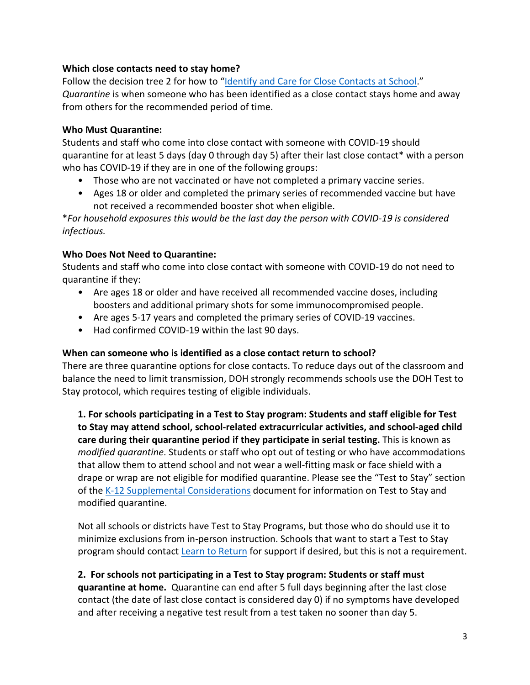# **Which close contacts need to stay home?**

Follow the decision tree 2 for how to ["Identify and Care for Close Contacts](https://www.doh.wa.gov/Portals/1/Documents/1600/coronavirus/820-229-SymptomDecisionTreeCTChecklistSchools.pdf) at School." *Quarantine* is when someone who has been identified as a close contact stays home and away from others for the recommended period of time.

#### **Who Must Quarantine:**

Students and staff who come into close contact with someone with COVID-19 should quarantine for at least 5 days (day 0 through day 5) after their last close contact\* with a person who has COVID-19 if they are in one of the following groups:

- Those who are not vaccinated or have not completed a primary vaccine series.
- Ages 18 or older and completed the primary series of recommended vaccine but have not received a recommended booster shot when eligible.

\**For household exposures this would be the last day the person with COVID-19 is considered infectious.* 

# **Who Does Not Need to Quarantine:**

Students and staff who come into close contact with someone with COVID-19 do not need to quarantine if they:

- Are ages 18 or older and have received all recommended vaccine doses, including boosters and additional primary shots for some immunocompromised people.
- Are ages 5-17 years and completed the primary series of COVID-19 vaccines.
- Had confirmed COVID-19 within the last 90 days.

# **When can someone who is identified as a close contact return to school?**

There are three quarantine options for close contacts. To reduce days out of the classroom and balance the need to limit transmission, DOH strongly recommends schools use the DOH Test to Stay protocol, which requires testing of eligible individuals.

**1. For schools participating in a Test to Stay program: Students and staff eligible for Test to Stay may attend school, school-related extracurricular activities, and school-aged child care during their quarantine period if they participate in serial testing.** This is known as *modified quarantine*. Students or staff who opt out of testing or who have accommodations that allow them to attend school and not wear a well-fitting mask or face shield with a drape or wrap are not eligible for modified quarantine. Please see the "Test to Stay" section of th[e K-12 Supplemental Considerations](https://www.doh.wa.gov/Portals/1/Documents/1600/coronavirus/820-218-K12SupplementalRecommendations.pdf) document for information on Test to Stay and modified quarantine.

Not all schools or districts have Test to Stay Programs, but those who do should use it to minimize exclusions from in-person instruction. Schools that want to start a Test to Stay program should contact [Learn to Return](https://learntoreturn.org/) for support if desired, but this is not a requirement.

# **2. For schools not participating in a Test to Stay program: Students or staff must**

**quarantine at home.** Quarantine can end after 5 full days beginning after the last close contact (the date of last close contact is considered day 0) if no symptoms have developed and after receiving a negative test result from a test taken no sooner than day 5.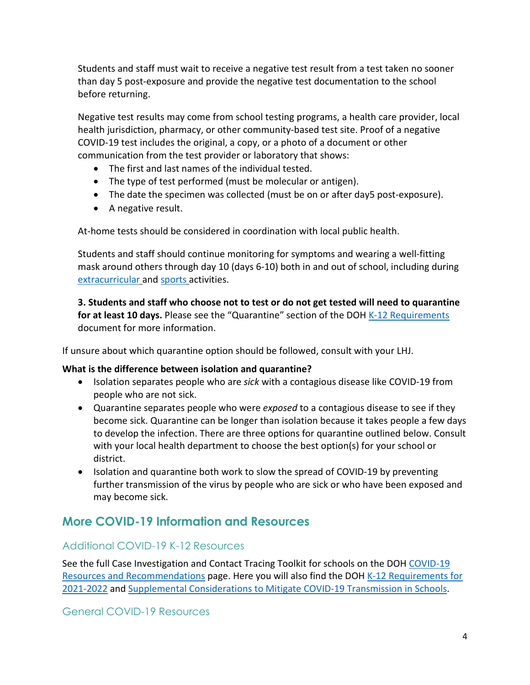Students and staff must wait to receive a negative test result from a test taken no sooner than day 5 post-exposure and provide the negative test documentation to the school before returning.

Negative test results may come from school testing programs, a health care provider, local health jurisdiction, pharmacy, or other community-based test site. Proof of a negative COVID-19 test includes the original, a copy, or a photo of a document or other communication from the test provider or laboratory that shows:

- The first and last names of the individual tested.
- The type of test performed (must be molecular or antigen).
- The date the specimen was collected (must be on or after day5 post-exposure).
- A negative result.

At-home tests should be considered in coordination with local public health.

Students and staff should continue monitoring for symptoms and wearing a well-fitting mask around others through day 10 (days 6-10) both in and out of school, including during [extracurricular](https://www.doh.wa.gov/Portals/1/Documents/1600/coronavirus/820-105-K12Schools2021-2022.pdf) and [sports](https://www.doh.wa.gov/Portals/1/Documents/1600/coronavirus/820-105-K12Schools2021-2022.pdf) activities.

**3. Students and staff who choose not to test or do not get tested will need to quarantine for at least 10 days.** Please see the "Quarantine" section of the DOH [K-12 Requirements](https://www.doh.wa.gov/Portals/1/Documents/1600/coronavirus/820-105-K12Schools2021-2022.pdf) document for more information.

If unsure about which quarantine option should be followed, consult with your LHJ.

# **What is the difference between isolation and quarantine?**

- Isolation separates people who are *sick* with a contagious disease like COVID-19 from people who are not sick.
- Quarantine separates people who were *exposed* to a contagious disease to see if they become sick. Quarantine can be longer than isolation because it takes people a few days to develop the infection. There are three options for quarantine outlined below. Consult with your local health department to choose the best option(s) for your school or district.
- Isolation and quarantine both work to slow the spread of COVID-19 by preventing further transmission of the virus by people who are sick or who have been exposed and may become sick.

# **More COVID-19 Information and Resources**

# Additional COVID-19 K-12 Resources

See the full Case Investigation and Contact Tracing Toolkit for schools on the DOH [COVID-19](https://www.doh.wa.gov/Emergencies/COVID19/ResourcesandRecommendations#schools)  [Resources and Recommendations](https://www.doh.wa.gov/Emergencies/COVID19/ResourcesandRecommendations#schools) page. Here you will also find the DOH K-12 Requirements for [2021-2022](https://www.doh.wa.gov/Portals/1/Documents/1600/coronavirus/820-105-K12Schools2021-2022.pdf) and [Supplemental Considerations to Mitigate COVID-19 Transmission in Schools.](https://www.doh.wa.gov/Portals/1/Documents/1600/coronavirus/820-218-K12SupplementalRecommendations.pdf)

# General COVID-19 Resources